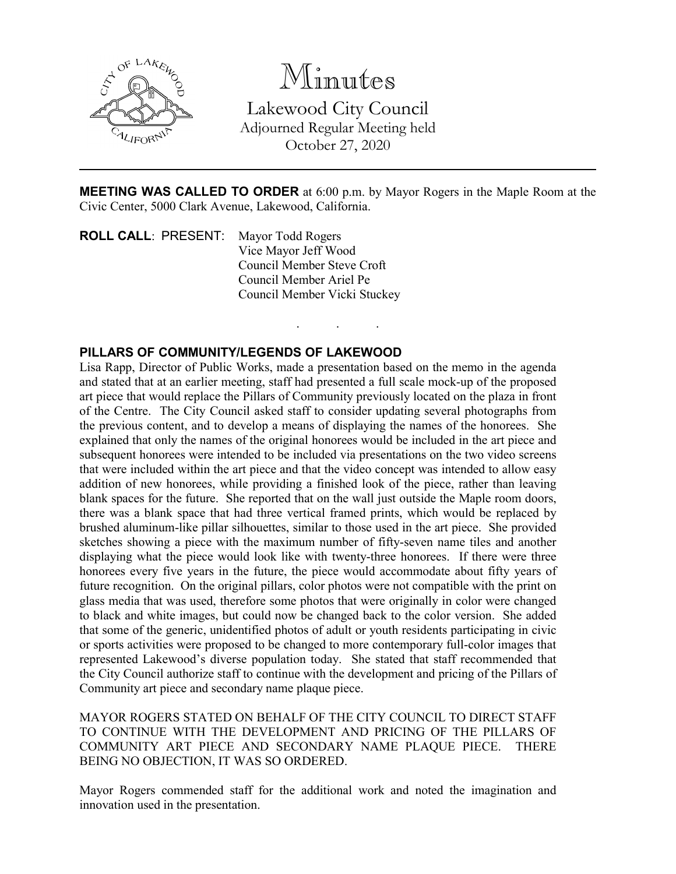

Minutes Lakewood City Council Adjourned Regular Meeting held October 27, 2020

**MEETING WAS CALLED TO ORDER** at 6:00 p.m. by Mayor Rogers in the Maple Room at the Civic Center, 5000 Clark Avenue, Lakewood, California.

. . .

**ROLL CALL**: PRESENT: Mayor Todd Rogers Vice Mayor Jeff Wood Council Member Steve Croft Council Member Ariel Pe Council Member Vicki Stuckey

# **PILLARS OF COMMUNITY/LEGENDS OF LAKEWOOD**

Lisa Rapp, Director of Public Works, made a presentation based on the memo in the agenda and stated that at an earlier meeting, staff had presented a full scale mock-up of the proposed art piece that would replace the Pillars of Community previously located on the plaza in front of the Centre. The City Council asked staff to consider updating several photographs from the previous content, and to develop a means of displaying the names of the honorees. She explained that only the names of the original honorees would be included in the art piece and subsequent honorees were intended to be included via presentations on the two video screens that were included within the art piece and that the video concept was intended to allow easy addition of new honorees, while providing a finished look of the piece, rather than leaving blank spaces for the future. She reported that on the wall just outside the Maple room doors, there was a blank space that had three vertical framed prints, which would be replaced by brushed aluminum-like pillar silhouettes, similar to those used in the art piece. She provided sketches showing a piece with the maximum number of fifty-seven name tiles and another displaying what the piece would look like with twenty-three honorees. If there were three honorees every five years in the future, the piece would accommodate about fifty years of future recognition. On the original pillars, color photos were not compatible with the print on glass media that was used, therefore some photos that were originally in color were changed to black and white images, but could now be changed back to the color version. She added that some of the generic, unidentified photos of adult or youth residents participating in civic or sports activities were proposed to be changed to more contemporary full-color images that represented Lakewood's diverse population today. She stated that staff recommended that the City Council authorize staff to continue with the development and pricing of the Pillars of Community art piece and secondary name plaque piece.

MAYOR ROGERS STATED ON BEHALF OF THE CITY COUNCIL TO DIRECT STAFF TO CONTINUE WITH THE DEVELOPMENT AND PRICING OF THE PILLARS OF COMMUNITY ART PIECE AND SECONDARY NAME PLAQUE PIECE. THERE BEING NO OBJECTION, IT WAS SO ORDERED.

Mayor Rogers commended staff for the additional work and noted the imagination and innovation used in the presentation.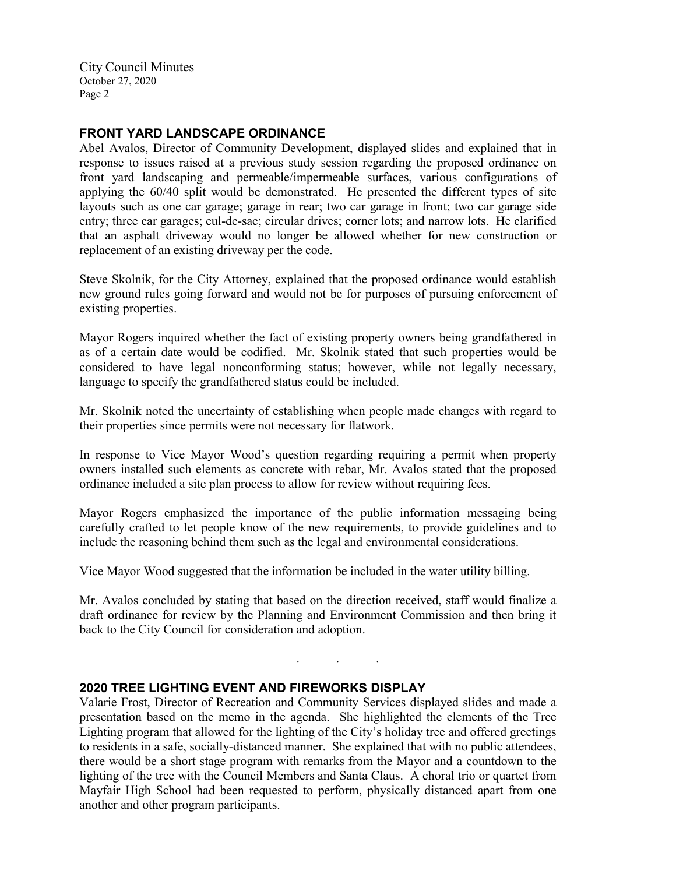# **FRONT YARD LANDSCAPE ORDINANCE**

Abel Avalos, Director of Community Development, displayed slides and explained that in response to issues raised at a previous study session regarding the proposed ordinance on front yard landscaping and permeable/impermeable surfaces, various configurations of applying the 60/40 split would be demonstrated. He presented the different types of site layouts such as one car garage; garage in rear; two car garage in front; two car garage side entry; three car garages; cul-de-sac; circular drives; corner lots; and narrow lots. He clarified that an asphalt driveway would no longer be allowed whether for new construction or replacement of an existing driveway per the code.

Steve Skolnik, for the City Attorney, explained that the proposed ordinance would establish new ground rules going forward and would not be for purposes of pursuing enforcement of existing properties.

Mayor Rogers inquired whether the fact of existing property owners being grandfathered in as of a certain date would be codified. Mr. Skolnik stated that such properties would be considered to have legal nonconforming status; however, while not legally necessary, language to specify the grandfathered status could be included.

Mr. Skolnik noted the uncertainty of establishing when people made changes with regard to their properties since permits were not necessary for flatwork.

In response to Vice Mayor Wood's question regarding requiring a permit when property owners installed such elements as concrete with rebar, Mr. Avalos stated that the proposed ordinance included a site plan process to allow for review without requiring fees.

Mayor Rogers emphasized the importance of the public information messaging being carefully crafted to let people know of the new requirements, to provide guidelines and to include the reasoning behind them such as the legal and environmental considerations.

Vice Mayor Wood suggested that the information be included in the water utility billing.

Mr. Avalos concluded by stating that based on the direction received, staff would finalize a draft ordinance for review by the Planning and Environment Commission and then bring it back to the City Council for consideration and adoption.

. . .

# **2020 TREE LIGHTING EVENT AND FIREWORKS DISPLAY**

Valarie Frost, Director of Recreation and Community Services displayed slides and made a presentation based on the memo in the agenda. She highlighted the elements of the Tree Lighting program that allowed for the lighting of the City's holiday tree and offered greetings to residents in a safe, socially-distanced manner. She explained that with no public attendees, there would be a short stage program with remarks from the Mayor and a countdown to the lighting of the tree with the Council Members and Santa Claus. A choral trio or quartet from Mayfair High School had been requested to perform, physically distanced apart from one another and other program participants.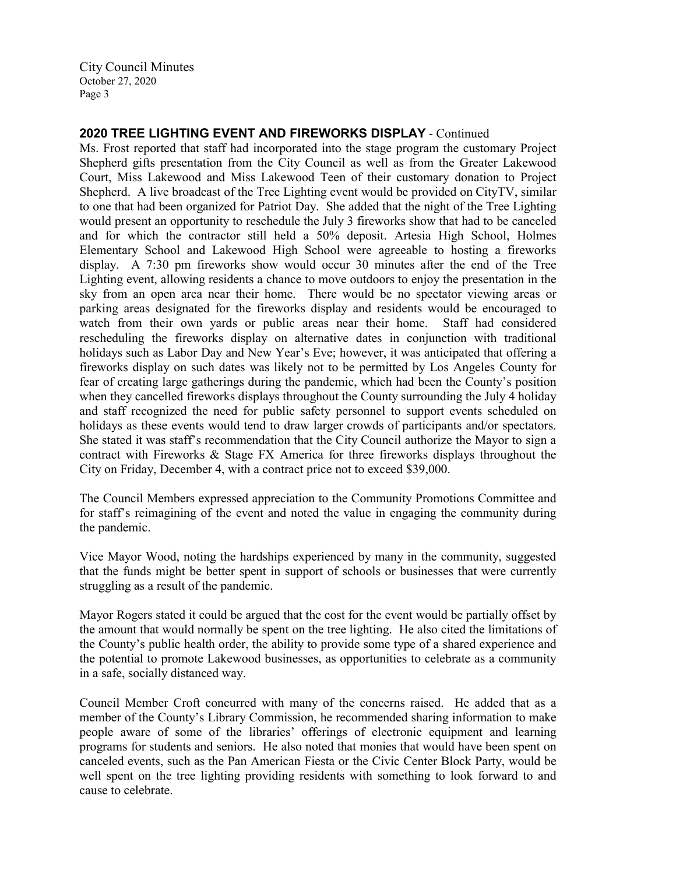# **2020 TREE LIGHTING EVENT AND FIREWORKS DISPLAY** - Continued

Ms. Frost reported that staff had incorporated into the stage program the customary Project Shepherd gifts presentation from the City Council as well as from the Greater Lakewood Court, Miss Lakewood and Miss Lakewood Teen of their customary donation to Project Shepherd. A live broadcast of the Tree Lighting event would be provided on CityTV, similar to one that had been organized for Patriot Day. She added that the night of the Tree Lighting would present an opportunity to reschedule the July 3 fireworks show that had to be canceled and for which the contractor still held a 50% deposit. Artesia High School, Holmes Elementary School and Lakewood High School were agreeable to hosting a fireworks display. A 7:30 pm fireworks show would occur 30 minutes after the end of the Tree Lighting event, allowing residents a chance to move outdoors to enjoy the presentation in the sky from an open area near their home. There would be no spectator viewing areas or parking areas designated for the fireworks display and residents would be encouraged to watch from their own yards or public areas near their home. Staff had considered rescheduling the fireworks display on alternative dates in conjunction with traditional holidays such as Labor Day and New Year's Eve; however, it was anticipated that offering a fireworks display on such dates was likely not to be permitted by Los Angeles County for fear of creating large gatherings during the pandemic, which had been the County's position when they cancelled fireworks displays throughout the County surrounding the July 4 holiday and staff recognized the need for public safety personnel to support events scheduled on holidays as these events would tend to draw larger crowds of participants and/or spectators. She stated it was staff's recommendation that the City Council authorize the Mayor to sign a contract with Fireworks & Stage FX America for three fireworks displays throughout the City on Friday, December 4, with a contract price not to exceed \$39,000.

The Council Members expressed appreciation to the Community Promotions Committee and for staff's reimagining of the event and noted the value in engaging the community during the pandemic.

Vice Mayor Wood, noting the hardships experienced by many in the community, suggested that the funds might be better spent in support of schools or businesses that were currently struggling as a result of the pandemic.

Mayor Rogers stated it could be argued that the cost for the event would be partially offset by the amount that would normally be spent on the tree lighting. He also cited the limitations of the County's public health order, the ability to provide some type of a shared experience and the potential to promote Lakewood businesses, as opportunities to celebrate as a community in a safe, socially distanced way.

Council Member Croft concurred with many of the concerns raised. He added that as a member of the County's Library Commission, he recommended sharing information to make people aware of some of the libraries' offerings of electronic equipment and learning programs for students and seniors. He also noted that monies that would have been spent on canceled events, such as the Pan American Fiesta or the Civic Center Block Party, would be well spent on the tree lighting providing residents with something to look forward to and cause to celebrate.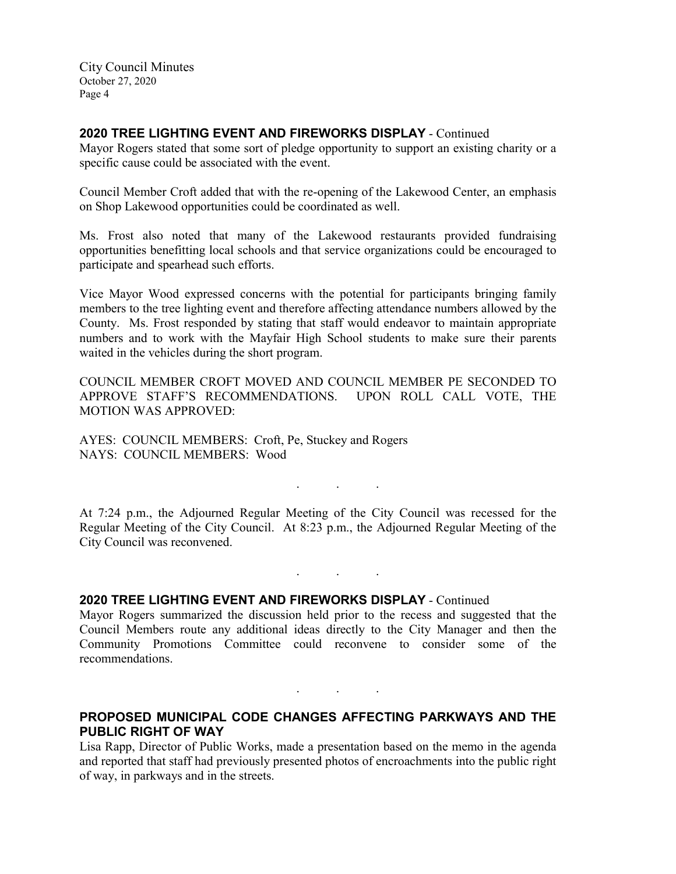#### **2020 TREE LIGHTING EVENT AND FIREWORKS DISPLAY** - Continued

Mayor Rogers stated that some sort of pledge opportunity to support an existing charity or a specific cause could be associated with the event.

Council Member Croft added that with the re-opening of the Lakewood Center, an emphasis on Shop Lakewood opportunities could be coordinated as well.

Ms. Frost also noted that many of the Lakewood restaurants provided fundraising opportunities benefitting local schools and that service organizations could be encouraged to participate and spearhead such efforts.

Vice Mayor Wood expressed concerns with the potential for participants bringing family members to the tree lighting event and therefore affecting attendance numbers allowed by the County. Ms. Frost responded by stating that staff would endeavor to maintain appropriate numbers and to work with the Mayfair High School students to make sure their parents waited in the vehicles during the short program.

COUNCIL MEMBER CROFT MOVED AND COUNCIL MEMBER PE SECONDED TO APPROVE STAFF'S RECOMMENDATIONS. UPON ROLL CALL VOTE, THE MOTION WAS APPROVED:

AYES: COUNCIL MEMBERS: Croft, Pe, Stuckey and Rogers NAYS: COUNCIL MEMBERS: Wood

At 7:24 p.m., the Adjourned Regular Meeting of the City Council was recessed for the Regular Meeting of the City Council. At 8:23 p.m., the Adjourned Regular Meeting of the City Council was reconvened.

. . .

. . .

**2020 TREE LIGHTING EVENT AND FIREWORKS DISPLAY** - Continued

Mayor Rogers summarized the discussion held prior to the recess and suggested that the Council Members route any additional ideas directly to the City Manager and then the Community Promotions Committee could reconvene to consider some of the recommendations.

# **PROPOSED MUNICIPAL CODE CHANGES AFFECTING PARKWAYS AND THE PUBLIC RIGHT OF WAY**

. . .

Lisa Rapp, Director of Public Works, made a presentation based on the memo in the agenda and reported that staff had previously presented photos of encroachments into the public right of way, in parkways and in the streets.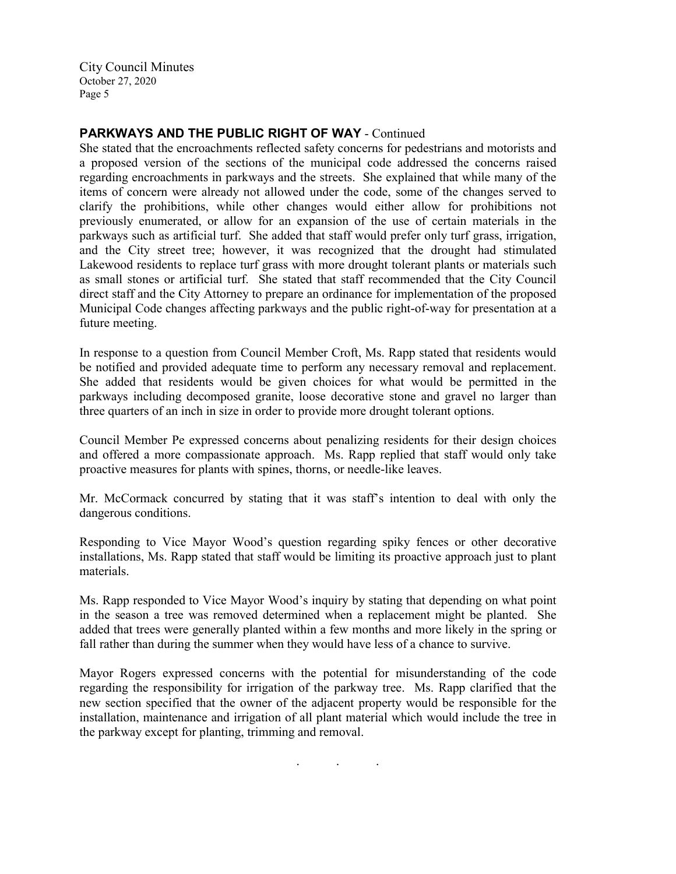# **PARKWAYS AND THE PUBLIC RIGHT OF WAY** - Continued

She stated that the encroachments reflected safety concerns for pedestrians and motorists and a proposed version of the sections of the municipal code addressed the concerns raised regarding encroachments in parkways and the streets. She explained that while many of the items of concern were already not allowed under the code, some of the changes served to clarify the prohibitions, while other changes would either allow for prohibitions not previously enumerated, or allow for an expansion of the use of certain materials in the parkways such as artificial turf. She added that staff would prefer only turf grass, irrigation, and the City street tree; however, it was recognized that the drought had stimulated Lakewood residents to replace turf grass with more drought tolerant plants or materials such as small stones or artificial turf. She stated that staff recommended that the City Council direct staff and the City Attorney to prepare an ordinance for implementation of the proposed Municipal Code changes affecting parkways and the public right-of-way for presentation at a future meeting.

In response to a question from Council Member Croft, Ms. Rapp stated that residents would be notified and provided adequate time to perform any necessary removal and replacement. She added that residents would be given choices for what would be permitted in the parkways including decomposed granite, loose decorative stone and gravel no larger than three quarters of an inch in size in order to provide more drought tolerant options.

Council Member Pe expressed concerns about penalizing residents for their design choices and offered a more compassionate approach. Ms. Rapp replied that staff would only take proactive measures for plants with spines, thorns, or needle-like leaves.

Mr. McCormack concurred by stating that it was staff's intention to deal with only the dangerous conditions.

Responding to Vice Mayor Wood's question regarding spiky fences or other decorative installations, Ms. Rapp stated that staff would be limiting its proactive approach just to plant materials.

Ms. Rapp responded to Vice Mayor Wood's inquiry by stating that depending on what point in the season a tree was removed determined when a replacement might be planted. She added that trees were generally planted within a few months and more likely in the spring or fall rather than during the summer when they would have less of a chance to survive.

Mayor Rogers expressed concerns with the potential for misunderstanding of the code regarding the responsibility for irrigation of the parkway tree. Ms. Rapp clarified that the new section specified that the owner of the adjacent property would be responsible for the installation, maintenance and irrigation of all plant material which would include the tree in the parkway except for planting, trimming and removal.

. . .